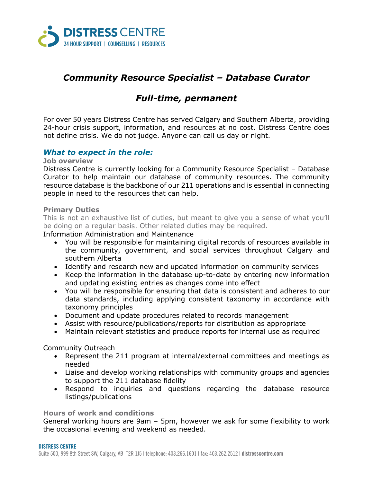

# *Community Resource Specialist – Database Curator*

# *Full-time, permanent*

For over 50 years Distress Centre has served Calgary and Southern Alberta, providing 24-hour crisis support, information, and resources at no cost. Distress Centre does not define crisis. We do not judge. Anyone can call us day or night.

### *What to expect in the role:*

**Job overview**

Distress Centre is currently looking for a Community Resource Specialist – Database Curator to help maintain our database of community resources. The community resource database is the backbone of our 211 operations and is essential in connecting people in need to the resources that can help.

#### **Primary Duties**

This is not an exhaustive list of duties, but meant to give you a sense of what you'll be doing on a regular basis. Other related duties may be required.

Information Administration and Maintenance

- You will be responsible for maintaining digital records of resources available in the community, government, and social services throughout Calgary and southern Alberta
- Identify and research new and updated information on community services
- Keep the information in the database up-to-date by entering new information and updating existing entries as changes come into effect
- You will be responsible for ensuring that data is consistent and adheres to our data standards, including applying consistent taxonomy in accordance with taxonomy principles
- Document and update procedures related to records management
- Assist with resource/publications/reports for distribution as appropriate
- Maintain relevant statistics and produce reports for internal use as required

Community Outreach

- Represent the 211 program at internal/external committees and meetings as needed
- Liaise and develop working relationships with community groups and agencies to support the 211 database fidelity
- Respond to inquiries and questions regarding the database resource listings/publications

**Hours of work and conditions**

General working hours are 9am – 5pm, however we ask for some flexibility to work the occasional evening and weekend as needed.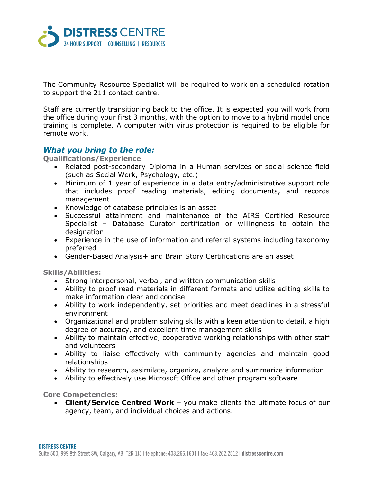

The Community Resource Specialist will be required to work on a scheduled rotation to support the 211 contact centre.

Staff are currently transitioning back to the office. It is expected you will work from the office during your first 3 months, with the option to move to a hybrid model once training is complete. A computer with virus protection is required to be eligible for remote work.

### *What you bring to the role:*

**Qualifications/Experience**

- Related post-secondary Diploma in a Human services or social science field (such as Social Work, Psychology, etc.)
- Minimum of 1 year of experience in a data entry/administrative support role that includes proof reading materials, editing documents, and records management.
- Knowledge of database principles is an asset
- Successful attainment and maintenance of the AIRS Certified Resource Specialist – Database Curator certification or willingness to obtain the designation
- Experience in the use of information and referral systems including taxonomy preferred
- Gender-Based Analysis+ and Brain Story Certifications are an asset

**Skills/Abilities:**

- Strong interpersonal, verbal, and written communication skills
- Ability to proof read materials in different formats and utilize editing skills to make information clear and concise
- Ability to work independently, set priorities and meet deadlines in a stressful environment
- Organizational and problem solving skills with a keen attention to detail, a high degree of accuracy, and excellent time management skills
- Ability to maintain effective, cooperative working relationships with other staff and volunteers
- Ability to liaise effectively with community agencies and maintain good relationships
- Ability to research, assimilate, organize, analyze and summarize information
- Ability to effectively use Microsoft Office and other program software

**Core Competencies:**

 **Client/Service Centred Work** – you make clients the ultimate focus of our agency, team, and individual choices and actions.